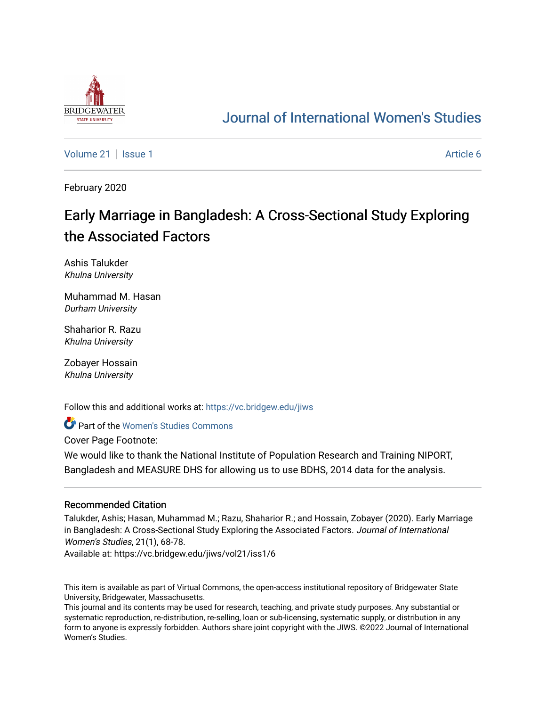

## [Journal of International Women's Studies](https://vc.bridgew.edu/jiws)

[Volume 21](https://vc.bridgew.edu/jiws/vol21) | [Issue 1](https://vc.bridgew.edu/jiws/vol21/iss1) Article 6

February 2020

# Early Marriage in Bangladesh: A Cross-Sectional Study Exploring the Associated Factors

Ashis Talukder Khulna University

Muhammad M. Hasan Durham University

Shaharior R. Razu Khulna University

Zobayer Hossain Khulna University

Follow this and additional works at: [https://vc.bridgew.edu/jiws](https://vc.bridgew.edu/jiws?utm_source=vc.bridgew.edu%2Fjiws%2Fvol21%2Fiss1%2F6&utm_medium=PDF&utm_campaign=PDFCoverPages)

**Part of the Women's Studies Commons** 

Cover Page Footnote:

We would like to thank the National Institute of Population Research and Training NIPORT, Bangladesh and MEASURE DHS for allowing us to use BDHS, 2014 data for the analysis.

#### Recommended Citation

Talukder, Ashis; Hasan, Muhammad M.; Razu, Shaharior R.; and Hossain, Zobayer (2020). Early Marriage in Bangladesh: A Cross-Sectional Study Exploring the Associated Factors. Journal of International Women's Studies, 21(1), 68-78.

Available at: https://vc.bridgew.edu/jiws/vol21/iss1/6

This item is available as part of Virtual Commons, the open-access institutional repository of Bridgewater State University, Bridgewater, Massachusetts.

This journal and its contents may be used for research, teaching, and private study purposes. Any substantial or systematic reproduction, re-distribution, re-selling, loan or sub-licensing, systematic supply, or distribution in any form to anyone is expressly forbidden. Authors share joint copyright with the JIWS. ©2022 Journal of International Women's Studies.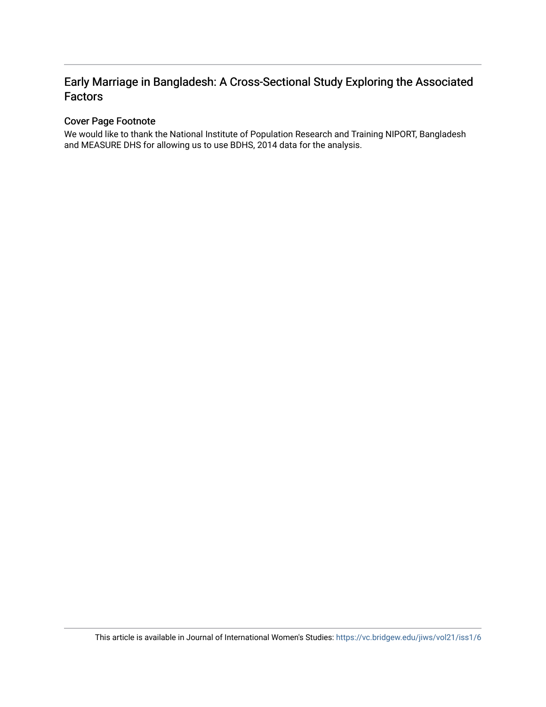### Early Marriage in Bangladesh: A Cross-Sectional Study Exploring the Associated Factors

### Cover Page Footnote

We would like to thank the National Institute of Population Research and Training NIPORT, Bangladesh and MEASURE DHS for allowing us to use BDHS, 2014 data for the analysis.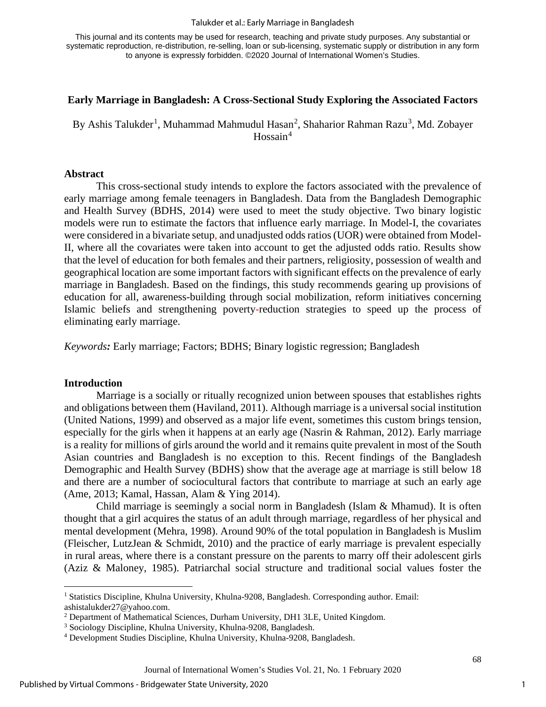#### Talukder et al.: Early Marriage in Bangladesh

This journal and its contents may be used for research, teaching and private study purposes. Any substantial or systematic reproduction, re-distribution, re-selling, loan or sub-licensing, systematic supply or distribution in any form to anyone is expressly forbidden. ©2020 Journal of International Women's Studies.

#### **Early Marriage in Bangladesh: A Cross-Sectional Study Exploring the Associated Factors**

By Ashis Talukder<sup>[1](#page-2-0)</sup>, Muhammad Mahmudul Hasan<sup>[2](#page-2-1)</sup>, Shaharior Rahman Razu<sup>[3](#page-2-2)</sup>, Md. Zobayer Hossain<sup>[4](#page-2-3)</sup>

#### **Abstract**

This cross-sectional study intends to explore the factors associated with the prevalence of early marriage among female teenagers in Bangladesh. Data from the Bangladesh Demographic and Health Survey (BDHS, 2014) were used to meet the study objective. Two binary logistic models were run to estimate the factors that influence early marriage. In Model-I, the covariates were considered in a bivariate setup, and unadjusted odds ratios (UOR) were obtained from Model-II, where all the covariates were taken into account to get the adjusted odds ratio. Results show that the level of education for both females and their partners, religiosity, possession of wealth and geographical location are some important factors with significant effects on the prevalence of early marriage in Bangladesh. Based on the findings, this study recommends gearing up provisions of education for all, awareness-building through social mobilization, reform initiatives concerning Islamic beliefs and strengthening poverty-reduction strategies to speed up the process of eliminating early marriage.

*Keywords:* Early marriage; Factors; BDHS; Binary logistic regression; Bangladesh

#### **Introduction**

Marriage is a socially or ritually recognized union between spouses that establishes rights and obligations between them (Haviland, 2011). Although marriage is a universal social institution (United Nations, 1999) and observed as a major life event, sometimes this custom brings tension, especially for the girls when it happens at an early age (Nasrin & Rahman, 2012). Early marriage is a reality for millions of girls around the world and it remains quite prevalent in most of the South Asian countries and Bangladesh is no exception to this. Recent findings of the Bangladesh Demographic and Health Survey (BDHS) show that the average age at marriage is still below 18 and there are a number of sociocultural factors that contribute to marriage at such an early age (Ame, 2013; Kamal, Hassan, Alam & Ying 2014).

Child marriage is seemingly a social norm in Bangladesh (Islam & Mhamud). It is often thought that a girl acquires the status of an adult through marriage, regardless of her physical and mental development (Mehra, 1998). Around 90% of the total population in Bangladesh is Muslim (Fleischer, LutzJean & Schmidt, 2010) and the practice of early marriage is prevalent especially in rural areas, where there is a constant pressure on the parents to marry off their adolescent girls (Aziz & Maloney, 1985). Patriarchal social structure and traditional social values foster the

<span id="page-2-0"></span><sup>1</sup> Statistics Discipline, Khulna University, Khulna-9208, Bangladesh. Corresponding author. Email: ashistalukder27@yahoo.com.

<span id="page-2-1"></span><sup>2</sup> Department of Mathematical Sciences, Durham University, DH1 3LE, United Kingdom.

<span id="page-2-2"></span><sup>3</sup> Sociology Discipline, Khulna University, Khulna-9208, Bangladesh.

<span id="page-2-3"></span><sup>4</sup> Development Studies Discipline, Khulna University, Khulna-9208, Bangladesh.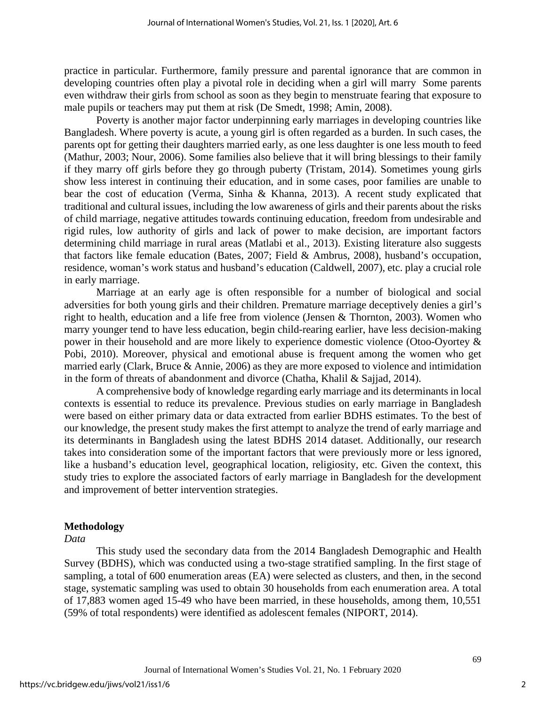practice in particular. Furthermore, family pressure and parental ignorance that are common in developing countries often play a pivotal role in deciding when a girl will marry Some parents even withdraw their girls from school as soon as they begin to menstruate fearing that exposure to male pupils or teachers may put them at risk (De Smedt, 1998; Amin, 2008).

Poverty is another major factor underpinning early marriages in developing countries like Bangladesh. Where poverty is acute, a young girl is often regarded as a burden. In such cases, the parents opt for getting their daughters married early, as one less daughter is one less mouth to feed (Mathur, 2003; Nour, 2006). Some families also believe that it will bring blessings to their family if they marry off girls before they go through puberty (Tristam, 2014). Sometimes young girls show less interest in continuing their education, and in some cases, poor families are unable to bear the cost of education (Verma, Sinha & Khanna, 2013). A recent study explicated that traditional and cultural issues, including the low awareness of girls and their parents about the risks of child marriage, negative attitudes towards continuing education, freedom from undesirable and rigid rules, low authority of girls and lack of power to make decision, are important factors determining child marriage in rural areas (Matlabi et al., 2013). Existing literature also suggests that factors like female education (Bates, 2007; Field & Ambrus, 2008), husband's occupation, residence, woman's work status and husband's education (Caldwell, 2007), etc. play a crucial role in early marriage.

Marriage at an early age is often responsible for a number of biological and social adversities for both young girls and their children. Premature marriage deceptively denies a girl's right to health, education and a life free from violence (Jensen & Thornton, 2003). Women who marry younger tend to have less education, begin child-rearing earlier, have less decision-making power in their household and are more likely to experience domestic violence (Otoo-Oyortey & Pobi, 2010). Moreover, physical and emotional abuse is frequent among the women who get married early (Clark, Bruce & Annie, 2006) as they are more exposed to violence and intimidation in the form of threats of abandonment and divorce (Chatha, Khalil & Sajjad, 2014).

A comprehensive body of knowledge regarding early marriage and its determinants in local contexts is essential to reduce its prevalence. Previous studies on early marriage in Bangladesh were based on either primary data or data extracted from earlier BDHS estimates. To the best of our knowledge, the present study makes the first attempt to analyze the trend of early marriage and its determinants in Bangladesh using the latest BDHS 2014 dataset. Additionally, our research takes into consideration some of the important factors that were previously more or less ignored, like a husband's education level, geographical location, religiosity, etc. Given the context, this study tries to explore the associated factors of early marriage in Bangladesh for the development and improvement of better intervention strategies.

#### **Methodology**

#### *Data*

This study used the secondary data from the 2014 Bangladesh Demographic and Health Survey (BDHS), which was conducted using a two-stage stratified sampling. In the first stage of sampling, a total of 600 enumeration areas (EA) were selected as clusters, and then, in the second stage, systematic sampling was used to obtain 30 households from each enumeration area. A total of 17,883 women aged 15-49 who have been married, in these households, among them, 10,551 (59% of total respondents) were identified as adolescent females (NIPORT, 2014).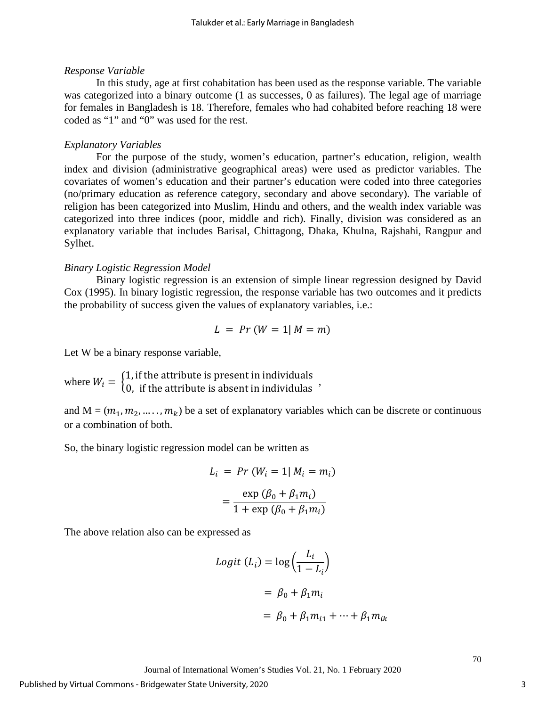#### *Response Variable*

In this study, age at first cohabitation has been used as the response variable. The variable was categorized into a binary outcome (1 as successes, 0 as failures). The legal age of marriage for females in Bangladesh is 18. Therefore, females who had cohabited before reaching 18 were coded as "1" and "0" was used for the rest.

#### *Explanatory Variables*

For the purpose of the study, women's education, partner's education, religion, wealth index and division (administrative geographical areas) were used as predictor variables. The covariates of women's education and their partner's education were coded into three categories (no/primary education as reference category, secondary and above secondary). The variable of religion has been categorized into Muslim, Hindu and others, and the wealth index variable was categorized into three indices (poor, middle and rich). Finally, division was considered as an explanatory variable that includes Barisal, Chittagong, Dhaka, Khulna, Rajshahi, Rangpur and Sylhet.

#### *Binary Logistic Regression Model*

Binary logistic regression is an extension of simple linear regression designed by David Cox (1995). In binary logistic regression, the response variable has two outcomes and it predicts the probability of success given the values of explanatory variables, i.e.:

$$
L = Pr (W = 1 | M = m)
$$

Let W be a binary response variable,

where  $W_i = \begin{cases} 1, & \text{if the attribute is present in individuals} \\ 0, & \text{if the attribute is absent in individuals} \end{cases}$ ,

and  $M = (m_1, m_2, \dots, m_k)$  be a set of explanatory variables which can be discrete or continuous or a combination of both.

So, the binary logistic regression model can be written as

$$
L_i = Pr(W_i = 1 | M_i = m_i)
$$

$$
= \frac{\exp (\beta_0 + \beta_1 m_i)}{1 + \exp (\beta_0 + \beta_1 m_i)}
$$

The above relation also can be expressed as

$$
Logit (Li) = log\left(\frac{Li}{1 - Li}\right)
$$

$$
= \beta_0 + \beta_1 m_i
$$

$$
= \beta_0 + \beta_1 m_{i1} + \dots + \beta_1 m_i
$$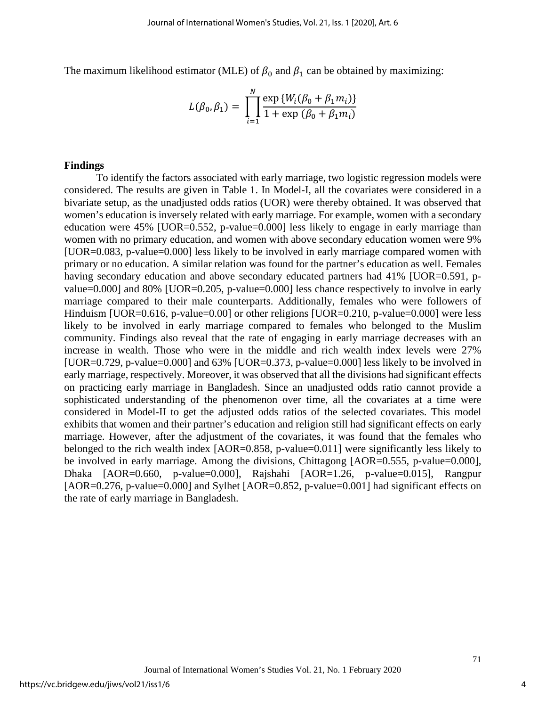The maximum likelihood estimator (MLE) of  $\beta_0$  and  $\beta_1$  can be obtained by maximizing:

$$
L(\beta_0, \beta_1) = \prod_{i=1}^{N} \frac{\exp\{W_i(\beta_0 + \beta_1 m_i)\}}{1 + \exp(\beta_0 + \beta_1 m_i)}
$$

#### **Findings**

To identify the factors associated with early marriage, two logistic regression models were considered. The results are given in Table 1. In Model-I, all the covariates were considered in a bivariate setup, as the unadjusted odds ratios (UOR) were thereby obtained. It was observed that women's education is inversely related with early marriage. For example, women with a secondary education were 45% [UOR=0.552, p-value=0.000] less likely to engage in early marriage than women with no primary education, and women with above secondary education women were 9% [UOR=0.083, p-value=0.000] less likely to be involved in early marriage compared women with primary or no education. A similar relation was found for the partner's education as well. Females having secondary education and above secondary educated partners had 41% [UOR=0.591, pvalue=0.000] and 80% [UOR=0.205, p-value=0.000] less chance respectively to involve in early marriage compared to their male counterparts. Additionally, females who were followers of Hinduism [UOR=0.616, p-value=0.00] or other religions [UOR=0.210, p-value=0.000] were less likely to be involved in early marriage compared to females who belonged to the Muslim community. Findings also reveal that the rate of engaging in early marriage decreases with an increase in wealth. Those who were in the middle and rich wealth index levels were 27% [UOR=0.729, p-value=0.000] and 63% [UOR=0.373, p-value=0.000] less likely to be involved in early marriage, respectively. Moreover, it was observed that all the divisions had significant effects on practicing early marriage in Bangladesh. Since an unadjusted odds ratio cannot provide a sophisticated understanding of the phenomenon over time, all the covariates at a time were considered in Model-II to get the adjusted odds ratios of the selected covariates. This model exhibits that women and their partner's education and religion still had significant effects on early marriage. However, after the adjustment of the covariates, it was found that the females who belonged to the rich wealth index [AOR=0.858, p-value=0.011] were significantly less likely to be involved in early marriage. Among the divisions, Chittagong [AOR=0.555, p-value=0.000], Dhaka [AOR=0.660, p-value=0.000], Rajshahi [AOR=1.26, p-value=0.015], Rangpur [AOR=0.276, p-value=0.000] and Sylhet [AOR=0.852, p-value=0.001] had significant effects on the rate of early marriage in Bangladesh.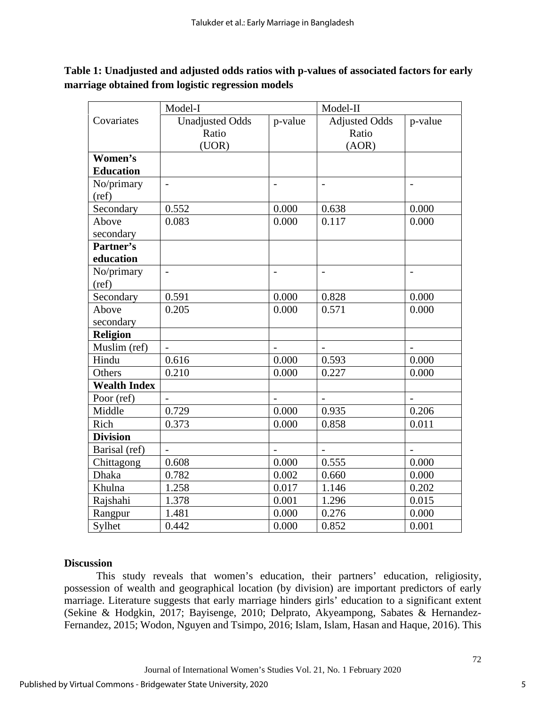|                     | Model-I                  |                          | Model-II                 |                          |
|---------------------|--------------------------|--------------------------|--------------------------|--------------------------|
| Covariates          | <b>Unadjusted Odds</b>   | p-value                  | <b>Adjusted Odds</b>     | p-value                  |
|                     | Ratio                    |                          | Ratio                    |                          |
|                     | (UOR)                    |                          | (AOR)                    |                          |
| Women's             |                          |                          |                          |                          |
| <b>Education</b>    |                          |                          |                          |                          |
| No/primary          | $\overline{\phantom{0}}$ |                          | $\overline{\phantom{0}}$ |                          |
| (ref)               |                          |                          |                          |                          |
| Secondary           | 0.552                    | 0.000                    | 0.638                    | 0.000                    |
| Above               | 0.083                    | 0.000                    | 0.117                    | 0.000                    |
| secondary           |                          |                          |                          |                          |
| Partner's           |                          |                          |                          |                          |
| education           |                          |                          |                          |                          |
| No/primary          | $\overline{a}$           | $\overline{\phantom{a}}$ | $\overline{\phantom{a}}$ | $\overline{\phantom{a}}$ |
| (ref)               |                          |                          |                          |                          |
| Secondary           | 0.591                    | 0.000                    | 0.828                    | 0.000                    |
| Above               | 0.205                    | 0.000                    | 0.571                    | 0.000                    |
| secondary           |                          |                          |                          |                          |
| <b>Religion</b>     |                          |                          |                          |                          |
| Muslim (ref)        | $\overline{a}$           | $\overline{a}$           | $\overline{a}$           | $\overline{a}$           |
| Hindu               | 0.616                    | 0.000                    | 0.593                    | 0.000                    |
| Others              | 0.210                    | 0.000                    | 0.227                    | 0.000                    |
| <b>Wealth Index</b> |                          |                          |                          |                          |
| Poor (ref)          |                          |                          |                          |                          |
| Middle              | 0.729                    | 0.000                    | 0.935                    | 0.206                    |
| Rich                | 0.373                    | 0.000                    | 0.858                    | 0.011                    |
| <b>Division</b>     |                          |                          |                          |                          |
| Barisal (ref)       | $\overline{\phantom{0}}$ | $\overline{\phantom{a}}$ | $\overline{\phantom{a}}$ | $\overline{\phantom{a}}$ |
| Chittagong          | 0.608                    | 0.000                    | 0.555                    | 0.000                    |
| <b>Dhaka</b>        | 0.782                    | 0.002                    | 0.660                    | 0.000                    |
| Khulna              | 1.258                    | 0.017                    | 1.146                    | 0.202                    |
| Rajshahi            | 1.378                    | 0.001                    | 1.296                    | 0.015                    |
| Rangpur             | 1.481                    | 0.000                    | 0.276                    | 0.000                    |
| Sylhet              | 0.442                    | 0.000                    | 0.852                    | 0.001                    |

**Table 1: Unadjusted and adjusted odds ratios with p-values of associated factors for early marriage obtained from logistic regression models**

#### **Discussion**

This study reveals that women's education, their partners' education, religiosity, possession of wealth and geographical location (by division) are important predictors of early marriage. Literature suggests that early marriage hinders girls' education to a significant extent (Sekine & Hodgkin, 2017; Bayisenge, 2010; Delprato, Akyeampong, Sabates & Hernandez-Fernandez, 2015; Wodon, Nguyen and Tsimpo, 2016; Islam, Islam, Hasan and Haque, 2016). This

5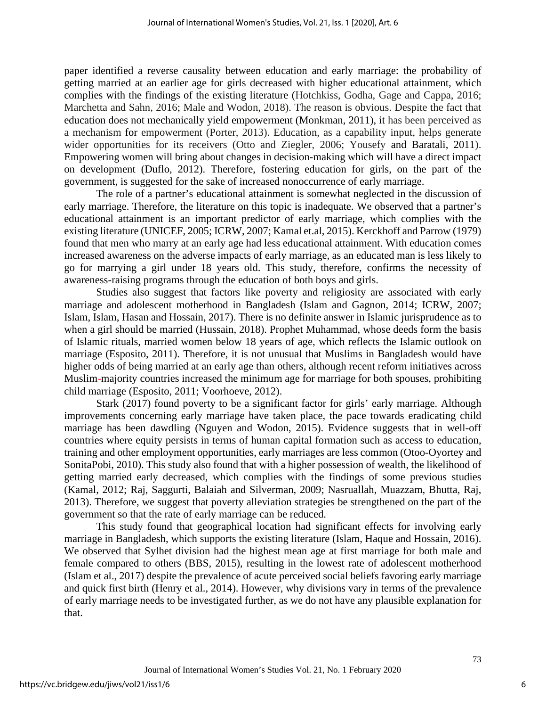paper identified a reverse causality between education and early marriage: the probability of getting married at an earlier age for girls decreased with higher educational attainment, which complies with the findings of the existing literature (Hotchkiss, Godha, Gage and Cappa, 2016; Marchetta and Sahn, 2016; Male and Wodon, 2018). The reason is obvious. Despite the fact that education does not mechanically yield empowerment (Monkman, 2011), it has been perceived as a mechanism for empowerment (Porter, 2013). Education, as a capability input, helps generate wider opportunities for its receivers (Otto and Ziegler, 2006; Yousefy and Baratali, 2011). Empowering women will bring about changes in decision-making which will have a direct impact on development (Duflo, 2012). Therefore, fostering education for girls, on the part of the government, is suggested for the sake of increased nonoccurrence of early marriage.

The role of a partner's educational attainment is somewhat neglected in the discussion of early marriage. Therefore, the literature on this topic is inadequate. We observed that a partner's educational attainment is an important predictor of early marriage, which complies with the existing literature (UNICEF, 2005; ICRW, 2007; Kamal et.al, 2015). Kerckhoff and Parrow (1979) found that men who marry at an early age had less educational attainment. With education comes increased awareness on the adverse impacts of early marriage, as an educated man is less likely to go for marrying a girl under 18 years old. This study, therefore, confirms the necessity of awareness-raising programs through the education of both boys and girls.

Studies also suggest that factors like poverty and religiosity are associated with early marriage and adolescent motherhood in Bangladesh (Islam and Gagnon, 2014; ICRW, 2007; Islam, Islam, Hasan and Hossain, 2017). There is no definite answer in Islamic jurisprudence as to when a girl should be married (Hussain, 2018). Prophet Muhammad, whose deeds form the basis of Islamic rituals, married women below 18 years of age, which reflects the Islamic outlook on marriage (Esposito, 2011). Therefore, it is not unusual that Muslims in Bangladesh would have higher odds of being married at an early age than others, although recent reform initiatives across Muslim-majority countries increased the minimum age for marriage for both spouses, prohibiting child marriage (Esposito, 2011; Voorhoeve, 2012).

Stark (2017) found poverty to be a significant factor for girls' early marriage. Although improvements concerning early marriage have taken place, the pace towards eradicating child marriage has been dawdling (Nguyen and Wodon, 2015). Evidence suggests that in well-off countries where equity persists in terms of human capital formation such as access to education, training and other employment opportunities, early marriages are less common (Otoo-Oyortey and SonitaPobi, 2010). This study also found that with a higher possession of wealth, the likelihood of getting married early decreased, which complies with the findings of some previous studies (Kamal, 2012; Raj, Saggurti, Balaiah and Silverman, 2009; Nasruallah, Muazzam, Bhutta, Raj, 2013). Therefore, we suggest that poverty alleviation strategies be strengthened on the part of the government so that the rate of early marriage can be reduced.

This study found that geographical location had significant effects for involving early marriage in Bangladesh, which supports the existing literature (Islam, Haque and Hossain, 2016). We observed that Sylhet division had the highest mean age at first marriage for both male and female compared to others (BBS, 2015), resulting in the lowest rate of adolescent motherhood (Islam et al., 2017) despite the prevalence of acute perceived social beliefs favoring early marriage and quick first birth (Henry et al., 2014). However, why divisions vary in terms of the prevalence of early marriage needs to be investigated further, as we do not have any plausible explanation for that.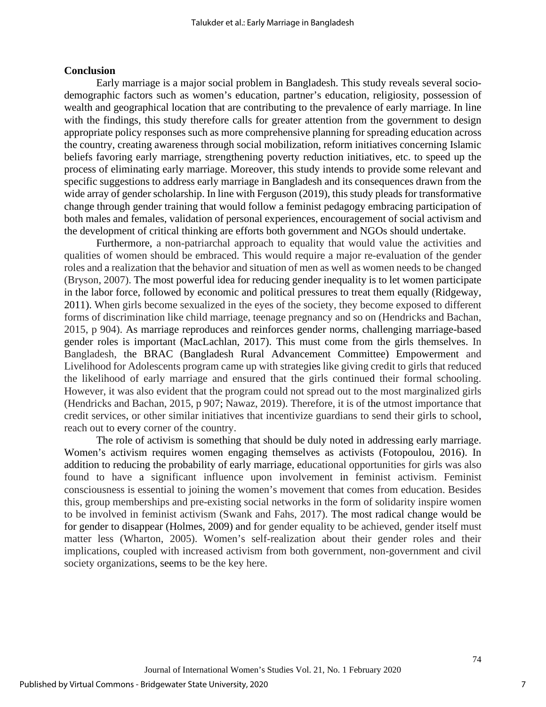#### **Conclusion**

Early marriage is a major social problem in Bangladesh. This study reveals several sociodemographic factors such as women's education, partner's education, religiosity, possession of wealth and geographical location that are contributing to the prevalence of early marriage. In line with the findings, this study therefore calls for greater attention from the government to design appropriate policy responses such as more comprehensive planning for spreading education across the country, creating awareness through social mobilization, reform initiatives concerning Islamic beliefs favoring early marriage, strengthening poverty reduction initiatives, etc. to speed up the process of eliminating early marriage. Moreover, this study intends to provide some relevant and specific suggestions to address early marriage in Bangladesh and its consequences drawn from the wide array of gender scholarship. In line with Ferguson (2019), this study pleads for transformative change through gender training that would follow a feminist pedagogy embracing participation of both males and females, validation of personal experiences, encouragement of social activism and the development of critical thinking are efforts both government and NGOs should undertake.

Furthermore, a non-patriarchal approach to equality that would value the activities and qualities of women should be embraced. This would require a major re-evaluation of the gender roles and a realization that the behavior and situation of men as well as women needs to be changed (Bryson, 2007). The most powerful idea for reducing gender inequality is to let women participate in the labor force, followed by economic and political pressures to treat them equally (Ridgeway, 2011). When girls become sexualized in the eyes of the society, they become exposed to different forms of discrimination like child marriage, teenage pregnancy and so on (Hendricks and Bachan, 2015, p 904). As marriage reproduces and reinforces gender norms, challenging marriage-based gender roles is important (MacLachlan, 2017). This must come from the girls themselves. In Bangladesh, the BRAC (Bangladesh Rural Advancement Committee) Empowerment and Livelihood for Adolescents program came up with strategies like giving credit to girls that reduced the likelihood of early marriage and ensured that the girls continued their formal schooling. However, it was also evident that the program could not spread out to the most marginalized girls (Hendricks and Bachan, 2015, p 907; Nawaz, 2019). Therefore, it is of the utmost importance that credit services, or other similar initiatives that incentivize guardians to send their girls to school, reach out to every corner of the country.

The role of activism is something that should be duly noted in addressing early marriage. Women's activism requires women engaging themselves as activists (Fotopoulou, 2016). In addition to reducing the probability of early marriage, educational opportunities for girls was also found to have a significant influence upon involvement in feminist activism. Feminist consciousness is essential to joining the women's movement that comes from education. Besides this, group memberships and pre-existing social networks in the form of solidarity inspire women to be involved in feminist activism (Swank and Fahs, 2017). The most radical change would be for gender to disappear (Holmes, 2009) and for gender equality to be achieved, gender itself must matter less (Wharton, 2005). Women's self-realization about their gender roles and their implications, coupled with increased activism from both government, non-government and civil society organizations, seems to be the key here.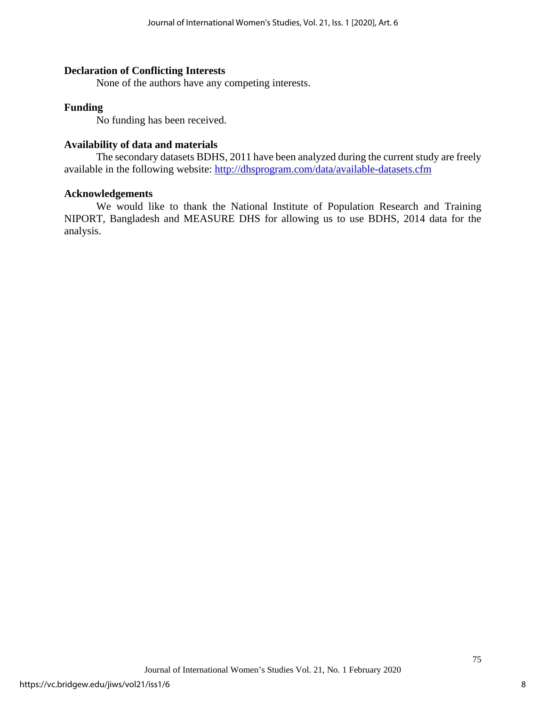#### **Declaration of Conflicting Interests**

None of the authors have any competing interests.

#### **Funding**

No funding has been received.

#### **Availability of data and materials**

The secondary datasets BDHS, 2011 have been analyzed during the current study are freely available in the following website: <http://dhsprogram.com/data/available-datasets.cfm>

#### **Acknowledgements**

We would like to thank the National Institute of Population Research and Training NIPORT, Bangladesh and MEASURE DHS for allowing us to use BDHS, 2014 data for the analysis.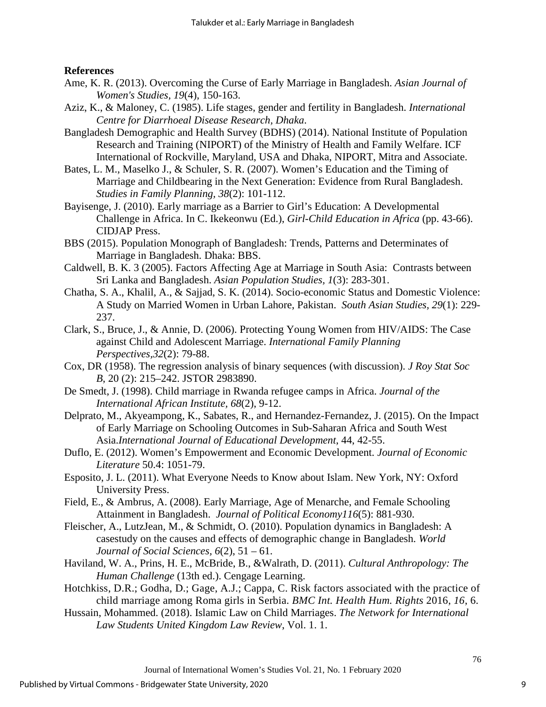#### **References**

- Ame, K. R. (2013). Overcoming the Curse of Early Marriage in Bangladesh. *Asian Journal of Women's Studies, 19*(4), 150-163.
- Aziz, K., & Maloney, C. (1985). Life stages, gender and fertility in Bangladesh. *International Centre for Diarrhoeal Disease Research, Dhaka*.
- Bangladesh Demographic and Health Survey (BDHS) (2014). National Institute of Population Research and Training (NIPORT) of the Ministry of Health and Family Welfare. ICF International of Rockville, Maryland, USA and Dhaka, NIPORT, Mitra and Associate.
- Bates, L. M., Maselko J., & Schuler, S. R. (2007). Women's Education and the Timing of Marriage and Childbearing in the Next Generation: Evidence from Rural Bangladesh. *Studies in Family Planning, 38*(2): 101-112.
- Bayisenge, J. (2010). Early marriage as a Barrier to Girl's Education: A Developmental Challenge in Africa. In C. Ikekeonwu (Ed.), *Girl-Child Education in Africa* (pp. 43-66). CIDJAP Press.
- BBS (2015). Population Monograph of Bangladesh: Trends, Patterns and Determinates of Marriage in Bangladesh. Dhaka: BBS.
- Caldwell, B. K. 3 (2005). Factors Affecting Age at Marriage in South Asia: Contrasts between Sri Lanka and Bangladesh. *Asian Population Studies, 1*(3): 283-301.
- Chatha, S. A., Khalil, A., & Sajjad, S. K. (2014). Socio-economic Status and Domestic Violence: A Study on Married Women in Urban Lahore, Pakistan. *South Asian Studies, 29*(1): 229- 237.
- Clark, S., Bruce, J., & Annie, D. (2006). Protecting Young Women from HIV/AIDS: The Case against Child and Adolescent Marriage. *International Family Planning Perspectives,32*(2): 79-88.
- Cox, DR (1958). The regression analysis of binary sequences (with discussion). *J Roy Stat Soc B*, 20 (2): 215–242. [JSTOR](https://en.wikipedia.org/wiki/JSTOR) [2983890.](https://www.jstor.org/stable/2983890)
- De Smedt, J. (1998). Child marriage in Rwanda refugee camps in Africa. *Journal of the International African Institute, 68*(2), 9-12.
- Delprato, M., Akyeampong, K., Sabates, R., and Hernandez-Fernandez, J. (2015). On the Impact of Early Marriage on Schooling Outcomes in Sub-Saharan Africa and South West Asia.*International Journal of Educational Development*, 44, 42-55.
- Duflo, E. (2012). Women's Empowerment and Economic Development. *Journal of Economic Literature* 50.4: 1051-79.
- Esposito, J. L. (2011). What Everyone Needs to Know about Islam. New York, NY: Oxford University Press.
- Field, E., & Ambrus, A. (2008). Early Marriage, Age of Menarche, and Female Schooling Attainment in Bangladesh. *Journal of Political Economy116*(5): 881-930.
- Fleischer, A., LutzJean, M., & Schmidt, O. (2010). Population dynamics in Bangladesh: A casestudy on the causes and effects of demographic change in Bangladesh. *World Journal of Social Sciences, 6*(2), 51 – 61.
- Haviland, W. A., Prins, H. E., McBride, B., &Walrath, D. (2011). *Cultural Anthropology: The Human Challenge* (13th ed.). Cengage Learning.
- Hotchkiss, D.R.; Godha, D.; Gage, A.J.; Cappa, C. Risk factors associated with the practice of child marriage among Roma girls in Serbia. *BMC Int. Health Hum. Rights* 2016, *16*, 6.
- Hussain, Mohammed. (2018). Islamic Law on Child Marriages. *The Network for International Law Students United Kingdom Law Review*, Vol. 1. 1.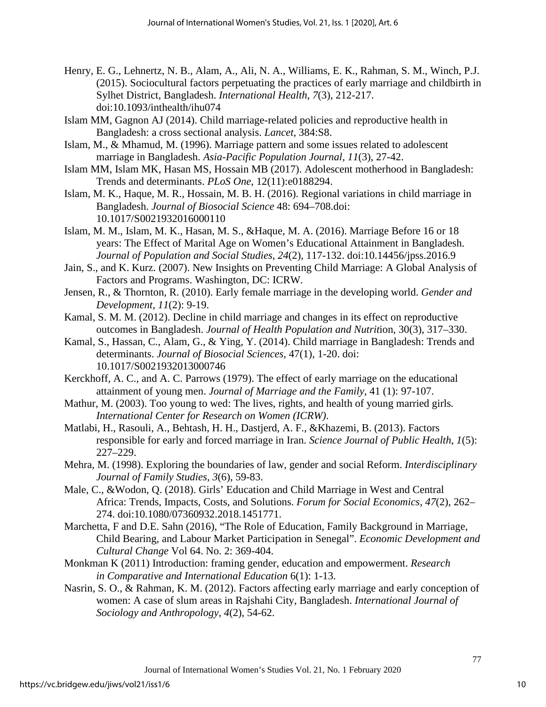- Henry, E. G., Lehnertz, N. B., Alam, A., Ali, N. A., Williams, E. K., Rahman, S. M., Winch, P.J. (2015). Sociocultural factors perpetuating the practices of early marriage and childbirth in Sylhet District, Bangladesh. *International Health*, *7*(3), 212-217. doi:10.1093/inthealth/ihu074
- Islam MM, Gagnon AJ (2014). Child marriage-related policies and reproductive health in Bangladesh: a cross sectional analysis. *Lancet*, 384:S8.
- Islam, M., & Mhamud, M. (1996). Marriage pattern and some issues related to adolescent marriage in Bangladesh. *Asia-Pacific Population Journal, 11*(3), 27-42.
- Islam MM, Islam MK, Hasan MS, Hossain MB (2017). Adolescent motherhood in Bangladesh: Trends and determinants. *PLoS One*, 12(11):e0188294.
- Islam, M. K., Haque, M. R., Hossain, M. B. H. (2016). Regional variations in child marriage in Bangladesh. *Journal of Biosocial Science* 48: 694–708.doi: 10.1017/S0021932016000110
- Islam, M. M., Islam, M. K., Hasan, M. S., &Haque, M. A. (2016). Marriage Before 16 or 18 years: The Effect of Marital Age on Women's Educational Attainment in Bangladesh. *Journal of Population and Social Studies*, *24*(2), 117-132. doi:10.14456/jpss.2016.9
- Jain, S., and K. Kurz. (2007). New Insights on Preventing Child Marriage: A Global Analysis of Factors and Programs. Washington, DC: ICRW.
- Jensen, R., & Thornton, R. (2010). Early female marriage in the developing world. *Gender and Development, 11*(2): 9-19.
- Kamal, S. M. M. (2012). Decline in child marriage and changes in its effect on reproductive outcomes in Bangladesh. *Journal of Health Population and Nutrit*ion, 30(3), 317–330.
- Kamal, S., Hassan, C., Alam, G., & Ying, Y. (2014). Child marriage in Bangladesh: Trends and determinants. *Journal of Biosocial Sciences*, 47(1), 1-20. doi: 10.1017/S0021932013000746
- Kerckhoff, A. C., and A. C. Parrows (1979). The effect of early marriage on the educational attainment of young men. *Journal of Marriage and the Family*, 41 (1): 97-107.
- Mathur, M. (2003). Too young to wed: The lives, rights, and health of young married girls*. International Center for Research on Women (ICRW)*.
- Matlabi, H., Rasouli, A., Behtash, H. H., Dastjerd, A. F., &Khazemi, B. (2013). Factors responsible for early and forced marriage in Iran. *Science Journal of Public Health*, *1*(5): 227–229.
- Mehra, M. (1998). Exploring the boundaries of law, gender and social Reform. *Interdisciplinary Journal of Family Studies, 3*(6), 59-83.
- Male, C., &Wodon, Q. (2018). Girls' Education and Child Marriage in West and Central Africa: Trends, Impacts, Costs, and Solutions. *Forum for Social Economics*, *47*(2), 262– 274. doi:10.1080/07360932.2018.1451771.
- Marchetta, F and D.E. Sahn (2016), "The Role of Education, Family Background in Marriage, Child Bearing, and Labour Market Participation in Senegal". *Economic Development and Cultural Change* Vol 64. No. 2: 369-404.
- Monkman K (2011) Introduction: framing gender, education and empowerment. *Research in Comparative and International Education* 6(1): 1-13.
- Nasrin, S. O., & Rahman, K. M. (2012). Factors affecting early marriage and early conception of women: A case of slum areas in Rajshahi City, Bangladesh. *International Journal of Sociology and Anthropology, 4*(2), 54-62.